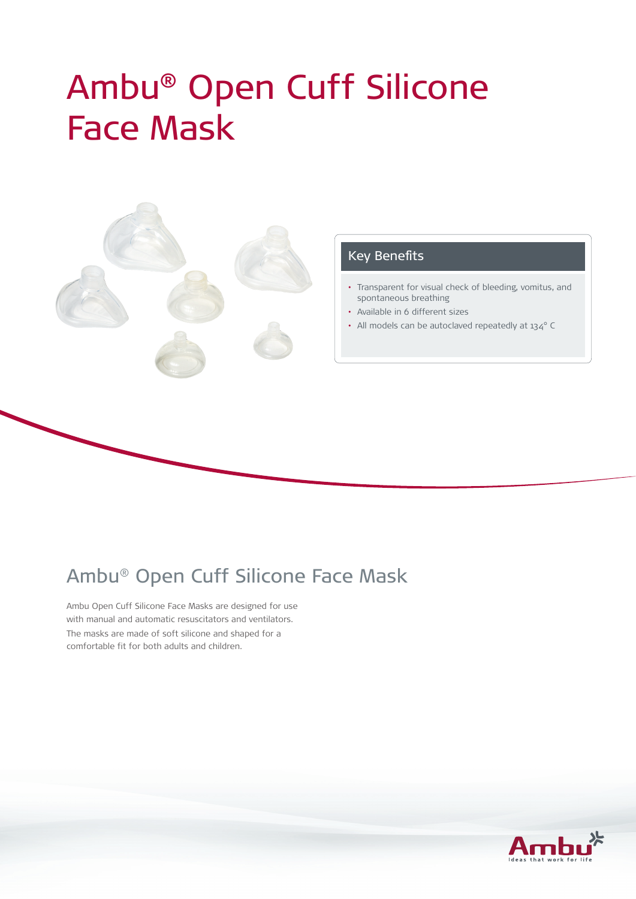# Ambu® Open Cuff Silicone Face Mask



#### Key Benefits

- • Transparent for visual check of bleeding, vomitus, and spontaneous breathing
- • Available in 6 different sizes
- All models can be autoclaved repeatedly at 134° C

# Ambu® Open Cuff Silicone Face Mask

Ambu Open Cuff Silicone Face Masks are designed for use with manual and automatic resuscitators and ventilators. The masks are made of soft silicone and shaped for a comfortable fit for both adults and children.